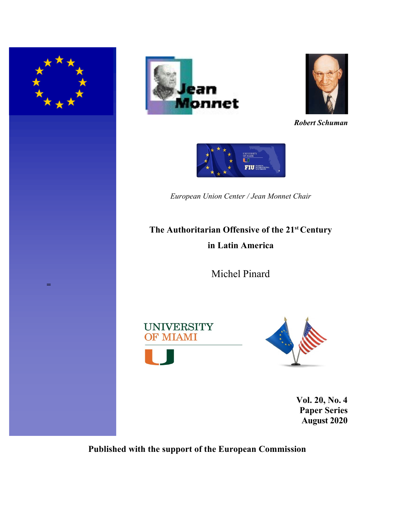





*Robert Schuman*



*European Union Center / Jean Monnet Chair*

# **The Authoritarian Offensive of the 21st Century in Latin America**

Michel Pinard





**Vol. 20, No. 4 Paper Series August 2020**

**Published with the support of the European Commission**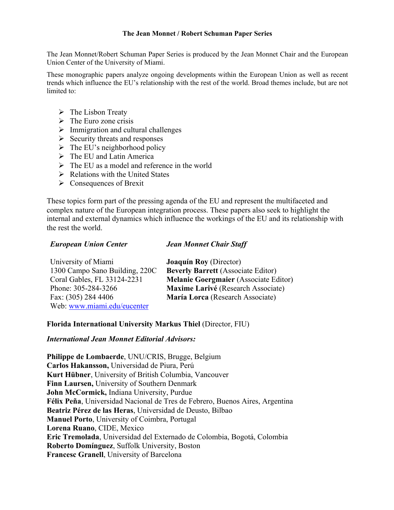### **The Jean Monnet / Robert Schuman Paper Series**

The Jean Monnet/Robert Schuman Paper Series is produced by the Jean Monnet Chair and the European Union Center of the University of Miami.

These monographic papers analyze ongoing developments within the European Union as well as recent trends which influence the EU's relationship with the rest of the world. Broad themes include, but are not limited to:

- $\triangleright$  The Lisbon Treaty
- $\triangleright$  The Euro zone crisis
- $\triangleright$  Immigration and cultural challenges
- $\triangleright$  Security threats and responses
- $\triangleright$  The EU's neighborhood policy
- $\triangleright$  The EU and Latin America
- $\triangleright$  The EU as a model and reference in the world
- $\triangleright$  Relations with the United States
- $\triangleright$  Consequences of Brexit

These topics form part of the pressing agenda of the EU and represent the multifaceted and complex nature of the European integration process. These papers also seek to highlight the internal and external dynamics which influence the workings of the EU and its relationship with the rest the world.

# *European Union Center*

### *Jean Monnet Chair Staff*

| University of Miami            | <b>Joaquín Roy</b> (Director)                |
|--------------------------------|----------------------------------------------|
| 1300 Campo Sano Building, 220C | <b>Beverly Barrett</b> (Associate Editor)    |
| Coral Gables, FL 33124-2231    | <b>Melanie Goergmaier</b> (Associate Editor) |
| Phone: 305-284-3266            | Maxime Larivé (Research Associate)           |
| Fax: (305) 284 4406            | María Lorca (Research Associate)             |
| Web: www.miami.edu/eucenter    |                                              |

# **Florida International University Markus Thiel** (Director, FIU)

# *International Jean Monnet Editorial Advisors:*

**Philippe de Lombaerde**, UNU/CRIS, Brugge, Belgium **Carlos Hakansson,** Universidad de Piura, Perú **Kurt Hübner**, University of British Columbia, Vancouver **Finn Laursen,** University of Southern Denmark **John McCormick,** Indiana University, Purdue **Félix Peña**, Universidad Nacional de Tres de Febrero, Buenos Aires, Argentina **Beatriz Pérez de las Heras**, Universidad de Deusto, Bilbao **Manuel Porto**, University of Coimbra, Portugal **Lorena Ruano**, CIDE, Mexico **Eric Tremolada**, Universidad del Externado de Colombia, Bogotá, Colombia **Roberto Domínguez**, Suffolk University, Boston **Francesc Granell**, University of Barcelona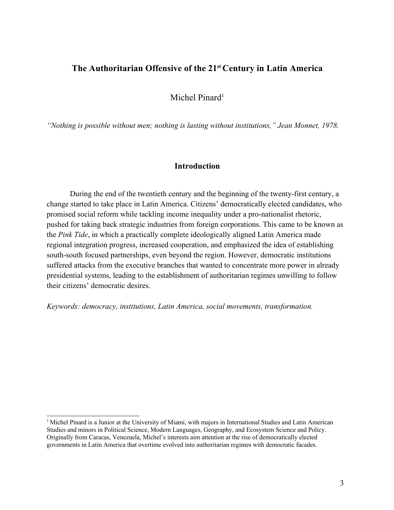# **The Authoritarian Offensive of the 21st Century in Latin America**

Michel Pinard<sup>1</sup>

*"Nothing is possible without men; nothing is lasting without institutions," Jean Monnet, 1978.*

# **Introduction**

During the end of the twentieth century and the beginning of the twenty-first century, a change started to take place in Latin America. Citizens' democratically elected candidates, who promised social reform while tackling income inequality under a pro-nationalist rhetoric, pushed for taking back strategic industries from foreign corporations. This came to be known as the *Pink Tide*, in which a practically complete ideologically aligned Latin America made regional integration progress, increased cooperation, and emphasized the idea of establishing south-south focused partnerships, even beyond the region. However, democratic institutions suffered attacks from the executive branches that wanted to concentrate more power in already presidential systems, leading to the establishment of authoritarian regimes unwilling to follow their citizens' democratic desires.

*Keywords: democracy, institutions, Latin America, social movements, transformation.*

<sup>&</sup>lt;sup>1</sup> Michel Pinard is a Junior at the University of Miami, with majors in International Studies and Latin American Studies and minors in Political Science, Modern Languages, Geography, and Ecosystem Science and Policy. Originally from Caracas, Venezuela, Michel's interests aim attention at the rise of democratically elected governments in Latin America that overtime evolved into authoritarian regimes with democratic facades.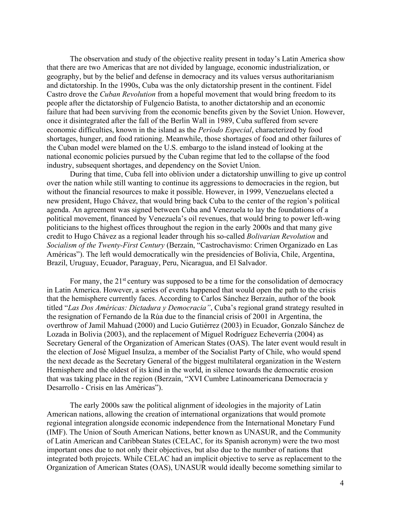The observation and study of the objective reality present in today's Latin America show that there are two Americas that are not divided by language, economic industrialization, or geography, but by the belief and defense in democracy and its values versus authoritarianism and dictatorship. In the 1990s, Cuba was the only dictatorship present in the continent. Fidel Castro drove the *Cuban Revolution* from a hopeful movement that would bring freedom to its people after the dictatorship of Fulgencio Batista, to another dictatorship and an economic failure that had been surviving from the economic benefits given by the Soviet Union. However, once it disintegrated after the fall of the Berlin Wall in 1989, Cuba suffered from severe economic difficulties, known in the island as the *Período Especial*, characterized by food shortages, hunger, and food rationing. Meanwhile, those shortages of food and other failures of the Cuban model were blamed on the U.S. embargo to the island instead of looking at the national economic policies pursued by the Cuban regime that led to the collapse of the food industry, subsequent shortages, and dependency on the Soviet Union.

During that time, Cuba fell into oblivion under a dictatorship unwilling to give up control over the nation while still wanting to continue its aggressions to democracies in the region, but without the financial resources to make it possible. However, in 1999, Venezuelans elected a new president, Hugo Chávez, that would bring back Cuba to the center of the region's political agenda. An agreement was signed between Cuba and Venezuela to lay the foundations of a political movement, financed by Venezuela's oil revenues, that would bring to power left-wing politicians to the highest offices throughout the region in the early 2000s and that many give credit to Hugo Chávez as a regional leader through his so-called *Bolivarian Revolution* and *Socialism of the Twenty-First Century* (Berzaín, "Castrochavismo: Crimen Organizado en Las Américas"). The left would democratically win the presidencies of Bolivia, Chile, Argentina, Brazil, Uruguay, Ecuador, Paraguay, Peru, Nicaragua, and El Salvador.

For many, the  $21<sup>st</sup>$  century was supposed to be a time for the consolidation of democracy in Latin America. However, a series of events happened that would open the path to the crisis that the hemisphere currently faces. According to Carlos Sánchez Berzaín, author of the book titled "*Las Dos Américas: Dictadura y Democracia"*, Cuba's regional grand strategy resulted in the resignation of Fernando de la Rúa due to the financial crisis of 2001 in Argentina, the overthrow of Jamil Mahuad (2000) and Lucio Gutiérrez (2003) in Ecuador, Gonzalo Sánchez de Lozada in Bolivia (2003), and the replacement of Miguel Rodríguez Echeverría (2004) as Secretary General of the Organization of American States (OAS). The later event would result in the election of José Miguel Insulza, a member of the Socialist Party of Chile, who would spend the next decade as the Secretary General of the biggest multilateral organization in the Western Hemisphere and the oldest of its kind in the world, in silence towards the democratic erosion that was taking place in the region (Berzaín, "XVI Cumbre Latinoamericana Democracia y Desarrollo - Crisis en las Américas").

The early 2000s saw the political alignment of ideologies in the majority of Latin American nations, allowing the creation of international organizations that would promote regional integration alongside economic independence from the International Monetary Fund (IMF). The Union of South American Nations, better known as UNASUR, and the Community of Latin American and Caribbean States (CELAC, for its Spanish acronym) were the two most important ones due to not only their objectives, but also due to the number of nations that integrated both projects. While CELAC had an implicit objective to serve as replacement to the Organization of American States (OAS), UNASUR would ideally become something similar to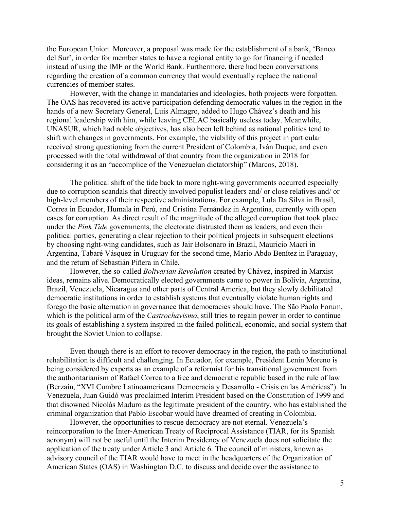the European Union. Moreover, a proposal was made for the establishment of a bank, 'Banco del Sur', in order for member states to have a regional entity to go for financing if needed instead of using the IMF or the World Bank. Furthermore, there had been conversations regarding the creation of a common currency that would eventually replace the national currencies of member states.

However, with the change in mandataries and ideologies, both projects were forgotten. The OAS has recovered its active participation defending democratic values in the region in the hands of a new Secretary General, Luis Almagro, added to Hugo Chávez's death and his regional leadership with him, while leaving CELAC basically useless today. Meanwhile, UNASUR, which had noble objectives, has also been left behind as national politics tend to shift with changes in governments. For example, the viability of this project in particular received strong questioning from the current President of Colombia, Iván Duque, and even processed with the total withdrawal of that country from the organization in 2018 for considering it as an "accomplice of the Venezuelan dictatorship" (Marcos, 2018).

The political shift of the tide back to more right-wing governments occurred especially due to corruption scandals that directly involved populist leaders and/ or close relatives and/ or high-level members of their respective administrations. For example, Lula Da Silva in Brasil, Correa in Ecuador, Humala in Perú, and Cristina Fernández in Argentina, currently with open cases for corruption. As direct result of the magnitude of the alleged corruption that took place under the *Pink Tide* governments, the electorate distrusted them as leaders, and even their political parties, generating a clear rejection to their political projects in subsequent elections by choosing right-wing candidates, such as Jair Bolsonaro in Brazil, Mauricio Macri in Argentina, Tabaré Vásquez in Uruguay for the second time, Mario Abdo Benítez in Paraguay, and the return of Sebastián Piñera in Chile.

However, the so-called *Bolivarian Revolution* created by Chávez, inspired in Marxist ideas, remains alive. Democratically elected governments came to power in Bolivia, Argentina, Brazil, Venezuela, Nicaragua and other parts of Central America, but they slowly debilitated democratic institutions in order to establish systems that eventually violate human rights and forego the basic alternation in governance that democracies should have. The São Paolo Forum, which is the political arm of the *Castrochavismo*, still tries to regain power in order to continue its goals of establishing a system inspired in the failed political, economic, and social system that brought the Soviet Union to collapse.

Even though there is an effort to recover democracy in the region, the path to institutional rehabilitation is difficult and challenging. In Ecuador, for example, President Lenin Moreno is being considered by experts as an example of a reformist for his transitional government from the authoritarianism of Rafael Correa to a free and democratic republic based in the rule of law (Berzaín, "XVI Cumbre Latinoamericana Democracia y Desarrollo - Crisis en las Américas"). In Venezuela, Juan Guidó was proclaimed Interim President based on the Constitution of 1999 and that disowned Nicolás Maduro as the legitimate president of the country, who has established the criminal organization that Pablo Escobar would have dreamed of creating in Colombia.

However, the opportunities to rescue democracy are not eternal. Venezuela's reincorporation to the Inter-American Treaty of Reciprocal Assistance (TIAR, for its Spanish acronym) will not be useful until the Interim Presidency of Venezuela does not solicitate the application of the treaty under Article 3 and Article 6. The council of ministers, known as advisory council of the TIAR would have to meet in the headquarters of the Organization of American States (OAS) in Washington D.C. to discuss and decide over the assistance to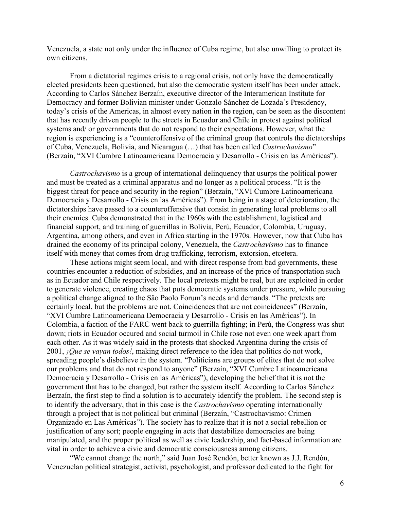Venezuela, a state not only under the influence of Cuba regime, but also unwilling to protect its own citizens.

From a dictatorial regimes crisis to a regional crisis, not only have the democratically elected presidents been questioned, but also the democratic system itself has been under attack. According to Carlos Sánchez Berzaín, executive director of the Interamerican Institute for Democracy and former Bolivian minister under Gonzalo Sánchez de Lozada's Presidency, today's crisis of the Americas, in almost every nation in the region, can be seen as the discontent that has recently driven people to the streets in Ecuador and Chile in protest against political systems and/ or governments that do not respond to their expectations. However, what the region is experiencing is a "counteroffensive of the criminal group that controls the dictatorships of Cuba, Venezuela, Bolivia, and Nicaragua (…) that has been called *Castrochavismo*" (Berzaín, "XVI Cumbre Latinoamericana Democracia y Desarrollo - Crisis en las Américas").

*Castrochavismo* is a group of international delinquency that usurps the political power and must be treated as a criminal apparatus and no longer as a political process. "It is the biggest threat for peace and security in the region" (Berzaín, "XVI Cumbre Latinoamericana Democracia y Desarrollo - Crisis en las Américas"). From being in a stage of deterioration, the dictatorships have passed to a counteroffensive that consist in generating local problems to all their enemies. Cuba demonstrated that in the 1960s with the establishment, logistical and financial support, and training of guerrillas in Bolivia, Perú, Ecuador, Colombia, Uruguay, Argentina, among others, and even in Africa starting in the 1970s. However, now that Cuba has drained the economy of its principal colony, Venezuela, the *Castrochavismo* has to finance itself with money that comes from drug trafficking, terrorism, extorsion, etcetera.

These actions might seem local, and with direct response from bad governments, these countries encounter a reduction of subsidies, and an increase of the price of transportation such as in Ecuador and Chile respectively. The local pretexts might be real, but are exploited in order to generate violence, creating chaos that puts democratic systems under pressure, while pursuing a political change aligned to the São Paolo Forum's needs and demands. "The pretexts are certainly local, but the problems are not. Coincidences that are not coincidences" (Berzaín, "XVI Cumbre Latinoamericana Democracia y Desarrollo - Crisis en las Américas"). In Colombia, a faction of the FARC went back to guerrilla fighting; in Perú, the Congress was shut down; riots in Ecuador occured and social turmoil in Chile rose not even one week apart from each other. As it was widely said in the protests that shocked Argentina during the crisis of 2001, *¡Que se vayan todos!*, making direct reference to the idea that politics do not work, spreading people's disbelieve in the system. "Politicians are groups of elites that do not solve our problems and that do not respond to anyone" (Berzaín, "XVI Cumbre Latinoamericana Democracia y Desarrollo - Crisis en las Américas"), developing the belief that it is not the government that has to be changed, but rather the system itself. According to Carlos Sánchez Berzaín, the first step to find a solution is to accurately identify the problem. The second step is to identify the adversary, that in this case is the *Castrochavismo* operating internationally through a project that is not political but criminal (Berzaín, "Castrochavismo: Crimen Organizado en Las Américas"). The society has to realize that it is not a social rebellion or justification of any sort; people engaging in acts that destabilize democracies are being manipulated, and the proper political as well as civic leadership, and fact-based information are vital in order to achieve a civic and democratic consciousness among citizens.

"We cannot change the north," said Juan José Rendón, better known as J.J. Rendón, Venezuelan political strategist, activist, psychologist, and professor dedicated to the fight for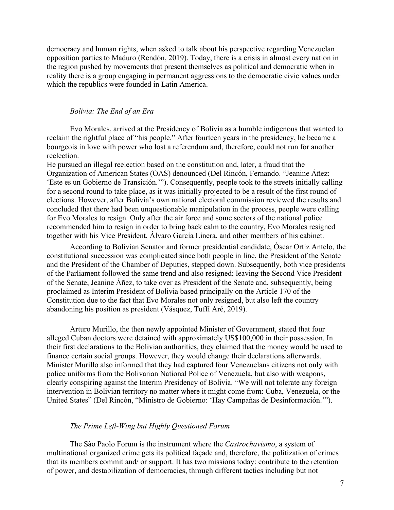democracy and human rights, when asked to talk about his perspective regarding Venezuelan opposition parties to Maduro (Rendón, 2019). Today, there is a crisis in almost every nation in the region pushed by movements that present themselves as political and democratic when in reality there is a group engaging in permanent aggressions to the democratic civic values under which the republics were founded in Latin America.

### *Bolivia: The End of an Era*

Evo Morales, arrived at the Presidency of Bolivia as a humble indigenous that wanted to reclaim the rightful place of "his people." After fourteen years in the presidency, he became a bourgeois in love with power who lost a referendum and, therefore, could not run for another reelection.

He pursued an illegal reelection based on the constitution and, later, a fraud that the Organization of American States (OAS) denounced (Del Rincón, Fernando. "Jeanine Áñez: 'Este es un Gobierno de Transición.'"). Consequently, people took to the streets initially calling for a second round to take place, as it was initially projected to be a result of the first round of elections. However, after Bolivia's own national electoral commission reviewed the results and concluded that there had been unquestionable manipulation in the process, people were calling for Evo Morales to resign. Only after the air force and some sectors of the national police recommended him to resign in order to bring back calm to the country, Evo Morales resigned together with his Vice President, Álvaro García Linera, and other members of his cabinet.

According to Bolivian Senator and former presidential candidate, Óscar Ortiz Antelo, the constitutional succession was complicated since both people in line, the President of the Senate and the President of the Chamber of Deputies, stepped down. Subsequently, both vice presidents of the Parliament followed the same trend and also resigned; leaving the Second Vice President of the Senate, Jeanine Áñez, to take over as President of the Senate and, subsequently, being proclaimed as Interim President of Bolivia based principally on the Article 170 of the Constitution due to the fact that Evo Morales not only resigned, but also left the country abandoning his position as president (Vásquez, Tuffí Aré, 2019).

Arturo Murillo, the then newly appointed Minister of Government, stated that four alleged Cuban doctors were detained with approximately US\$100,000 in their possession. In their first declarations to the Bolivian authorities, they claimed that the money would be used to finance certain social groups. However, they would change their declarations afterwards. Minister Murillo also informed that they had captured four Venezuelans citizens not only with police uniforms from the Bolivarian National Police of Venezuela, but also with weapons, clearly conspiring against the Interim Presidency of Bolivia. "We will not tolerate any foreign intervention in Bolivian territory no matter where it might come from: Cuba, Venezuela, or the United States" (Del Rincón, "Ministro de Gobierno: 'Hay Campañas de Desinformación.'").

### *The Prime Left-Wing but Highly Questioned Forum*

The São Paolo Forum is the instrument where the *Castrochavismo*, a system of multinational organized crime gets its political façade and, therefore, the politization of crimes that its members commit and/ or support. It has two missions today: contribute to the retention of power, and destabilization of democracies, through different tactics including but not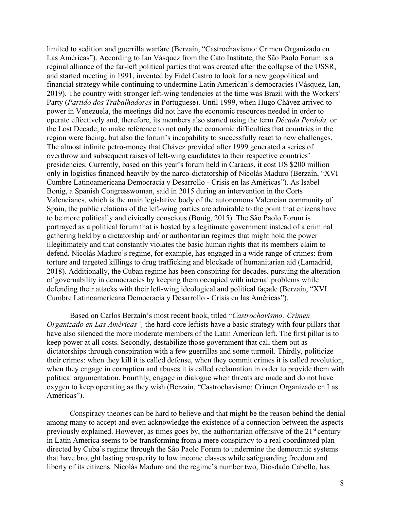limited to sedition and guerrilla warfare (Berzaín, "Castrochavismo: Crimen Organizado en Las Américas"). According to Ian Vásquez from the Cato Institute, the São Paolo Forum is a reginal alliance of the far-left political parties that was created after the collapse of the USSR, and started meeting in 1991, invented by Fidel Castro to look for a new geopolitical and financial strategy while continuing to undermine Latin American's democracies (Vásquez, Ian, 2019). The country with stronger left-wing tendencies at the time was Brazil with the Workers' Party (*Partido dos Trabalhadores* in Portuguese). Until 1999, when Hugo Chávez arrived to power in Venezuela, the meetings did not have the economic resources needed in order to operate effectively and, therefore, its members also started using the term *Década Perdida,* or the Lost Decade, to make reference to not only the economic difficulties that countries in the region were facing, but also the forum's incapability to successfully react to new challenges. The almost infinite petro-money that Chávez provided after 1999 generated a series of overthrow and subsequent raises of left-wing candidates to their respective countries' presidencies. Currently, based on this year's forum held in Caracas, it cost US \$200 million only in logistics financed heavily by the narco-dictatorship of Nicolás Maduro (Berzaín, "XVI Cumbre Latinoamericana Democracia y Desarrollo - Crisis en las Américas"). As Isabel Bonig, a Spanish Congresswoman, said in 2015 during an intervention in the Corts Valencianes, which is the main legislative body of the autonomous Valencian community of Spain, the public relations of the left-wing parties are admirable to the point that citizens have to be more politically and civically conscious (Bonig, 2015). The São Paolo Forum is portrayed as a political forum that is hosted by a legitimate government instead of a criminal gathering held by a dictatorship and/ or authoritarian regimes that might hold the power illegitimately and that constantly violates the basic human rights that its members claim to defend. Nicolás Maduro's regime, for example, has engaged in a wide range of crimes: from torture and targeted killings to drug trafficking and blockade of humanitarian aid (Lamadrid, 2018). Additionally, the Cuban regime has been conspiring for decades, pursuing the alteration of governability in democracies by keeping them occupied with internal problems while defending their attacks with their left-wing ideological and political façade (Berzaín, "XVI Cumbre Latinoamericana Democracia y Desarrollo - Crisis en las Américas").

Based on Carlos Berzaín's most recent book, titled "*Castrochavismo: Crimen Organizado en Las Américas",* the hard-core leftists have a basic strategy with four pillars that have also silenced the more moderate members of the Latin American left. The first pillar is to keep power at all costs. Secondly, destabilize those government that call them out as dictatorships through conspiration with a few guerrillas and some turmoil. Thirdly, politicize their crimes: when they kill it is called defense, when they commit crimes it is called revolution, when they engage in corruption and abuses it is called reclamation in order to provide them with political argumentation. Fourthly, engage in dialogue when threats are made and do not have oxygen to keep operating as they wish (Berzaín, "Castrochavismo: Crimen Organizado en Las Américas").

Conspiracy theories can be hard to believe and that might be the reason behind the denial among many to accept and even acknowledge the existence of a connection between the aspects previously explained. However, as times goes by, the authoritarian offensive of the  $21<sup>st</sup>$  century in Latin America seems to be transforming from a mere conspiracy to a real coordinated plan directed by Cuba's regime through the São Paolo Forum to undermine the democratic systems that have brought lasting prosperity to low income classes while safeguarding freedom and liberty of its citizens. Nicolás Maduro and the regime's number two, Diosdado Cabello, has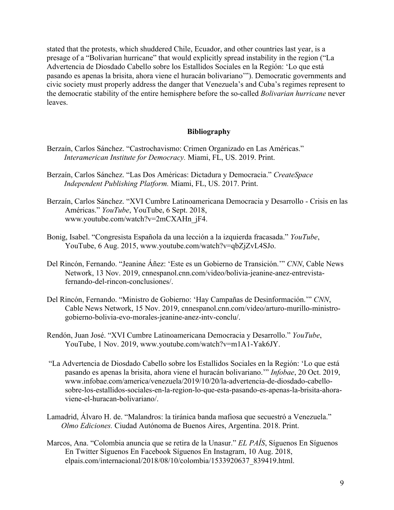stated that the protests, which shuddered Chile, Ecuador, and other countries last year, is a presage of a "Bolivarian hurricane" that would explicitly spread instability in the region ("La Advertencia de Diosdado Cabello sobre los Estallidos Sociales en la Región: 'Lo que está pasando es apenas la brisita, ahora viene el huracán bolivariano'"). Democratic governments and civic society must properly address the danger that Venezuela's and Cuba's regimes represent to the democratic stability of the entire hemisphere before the so-called *Bolivarian hurricane* never leaves.

### **Bibliography**

- Berzaín, Carlos Sánchez. "Castrochavismo: Crimen Organizado en Las Américas." *Interamerican Institute for Democracy.* Miami, FL, US. 2019. Print.
- Berzaín, Carlos Sánchez. "Las Dos Américas: Dictadura y Democracia." *CreateSpace Independent Publishing Platform.* Miami, FL, US. 2017. Print.
- Berzaín, Carlos Sánchez. "XVI Cumbre Latinoamericana Democracia y Desarrollo Crisis en las Américas." *YouTube*, YouTube, 6 Sept. 2018, www.youtube.com/watch?v=2mCXAHn\_jF4.
- Bonig, Isabel. "Congresista Española da una lección a la izquierda fracasada." *YouTube*, YouTube, 6 Aug. 2015, www.youtube.com/watch?v=qbZjZvL4SJo.
- Del Rincón, Fernando. "Jeanine Áñez: 'Este es un Gobierno de Transición.'" *CNN*, Cable News Network, 13 Nov. 2019, cnnespanol.cnn.com/video/bolivia-jeanine-anez-entrevistafernando-del-rincon-conclusiones/.
- Del Rincón, Fernando. "Ministro de Gobierno: 'Hay Campañas de Desinformación.'" *CNN*, Cable News Network, 15 Nov. 2019, cnnespanol.cnn.com/video/arturo-murillo-ministrogobierno-bolivia-evo-morales-jeanine-anez-intv-conclu/.
- Rendón, Juan José. "XVI Cumbre Latinoamericana Democracia y Desarrollo." *YouTube*, YouTube, 1 Nov. 2019, www.youtube.com/watch?v=m1A1-Yak6JY.
- "La Advertencia de Diosdado Cabello sobre los Estallidos Sociales en la Región: 'Lo que está pasando es apenas la brisita, ahora viene el huracán bolivariano.'" *Infobae*, 20 Oct. 2019, www.infobae.com/america/venezuela/2019/10/20/la-advertencia-de-diosdado-cabellosobre-los-estallidos-sociales-en-la-region-lo-que-esta-pasando-es-apenas-la-brisita-ahoraviene-el-huracan-bolivariano/.
- Lamadrid, Álvaro H. de. "Malandros: la tiránica banda mafiosa que secuestró a Venezuela." *Olmo Ediciones.* Ciudad Autónoma de Buenos Aires, Argentina. 2018. Print.
- Marcos, Ana. "Colombia anuncia que se retira de la Unasur." *EL PAÍS*, Síguenos En Síguenos En Twitter Síguenos En Facebook Síguenos En Instagram, 10 Aug. 2018, elpais.com/internacional/2018/08/10/colombia/1533920637\_839419.html.